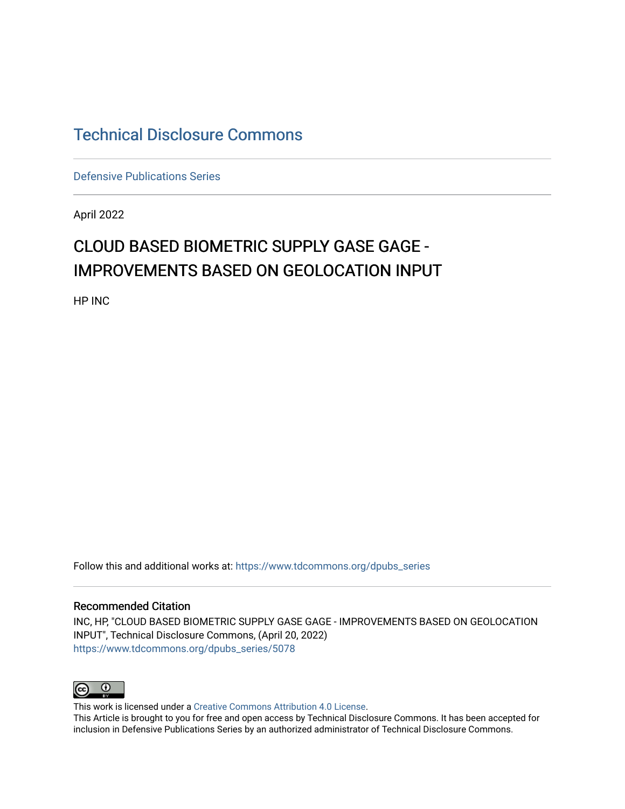## [Technical Disclosure Commons](https://www.tdcommons.org/)

[Defensive Publications Series](https://www.tdcommons.org/dpubs_series)

April 2022

# CLOUD BASED BIOMETRIC SUPPLY GASE GAGE - IMPROVEMENTS BASED ON GEOLOCATION INPUT

HP INC

Follow this and additional works at: [https://www.tdcommons.org/dpubs\\_series](https://www.tdcommons.org/dpubs_series?utm_source=www.tdcommons.org%2Fdpubs_series%2F5078&utm_medium=PDF&utm_campaign=PDFCoverPages) 

#### Recommended Citation

INC, HP, "CLOUD BASED BIOMETRIC SUPPLY GASE GAGE - IMPROVEMENTS BASED ON GEOLOCATION INPUT", Technical Disclosure Commons, (April 20, 2022) [https://www.tdcommons.org/dpubs\\_series/5078](https://www.tdcommons.org/dpubs_series/5078?utm_source=www.tdcommons.org%2Fdpubs_series%2F5078&utm_medium=PDF&utm_campaign=PDFCoverPages)



This work is licensed under a [Creative Commons Attribution 4.0 License](http://creativecommons.org/licenses/by/4.0/deed.en_US).

This Article is brought to you for free and open access by Technical Disclosure Commons. It has been accepted for inclusion in Defensive Publications Series by an authorized administrator of Technical Disclosure Commons.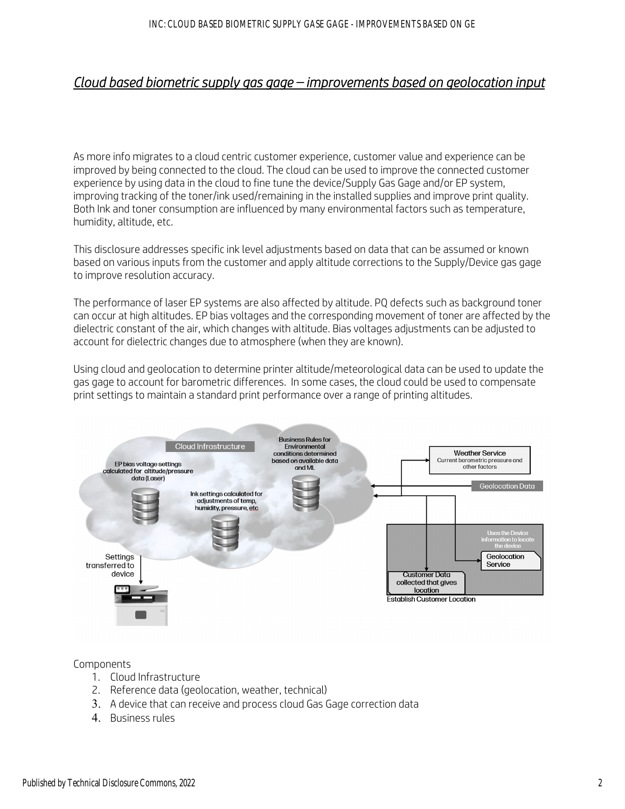### *Cloud based biometric supply gas gage – improvements based on geolocation input*

As more info migrates to a cloud centric customer experience, customer value and experience can be improved by being connected to the cloud. The cloud can be used to improve the connected customer experience by using data in the cloud to fine tune the device/Supply Gas Gage and/or EP system, improving tracking of the toner/ink used/remaining in the installed supplies and improve print quality. Both Ink and toner consumption are influenced by many environmental factors such as temperature, humidity, altitude, etc.

This disclosure addresses specific ink level adjustments based on data that can be assumed or known based on various inputs from the customer and apply altitude corrections to the Supply/Device gas gage to improve resolution accuracy.

The performance of laser EP systems are also affected by altitude. PQ defects such as background toner can occur at high altitudes. EP bias voltages and the corresponding movement of toner are affected by the dielectric constant of the air, which changes with altitude. Bias voltages adjustments can be adjusted to account for dielectric changes due to atmosphere (when they are known).

Using cloud and geolocation to determine printer altitude/meteorological data can be used to update the gas gage to account for barometric differences. In some cases, the cloud could be used to compensate print settings to maintain a standard print performance over a range of printing altitudes.



#### Components

- 1. Cloud Infrastructure
- 2. Reference data (geolocation, weather, technical)
- 3. A device that can receive and process cloud Gas Gage correction data
- 4. Business rules